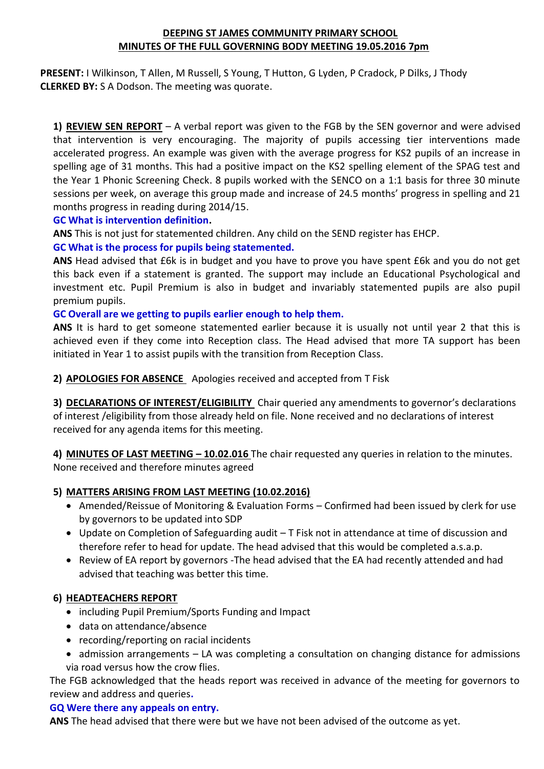# **DEEPING ST JAMES COMMUNITY PRIMARY SCHOOL MINUTES OF THE FULL GOVERNING BODY MEETING 19.05.2016 7pm**

**PRESENT:** I Wilkinson, T Allen, M Russell, S Young, T Hutton, G Lyden, P Cradock, P Dilks, J Thody **CLERKED BY:** S A Dodson. The meeting was quorate.

**1) REVIEW SEN REPORT** – A verbal report was given to the FGB by the SEN governor and were advised that intervention is very encouraging. The majority of pupils accessing tier interventions made accelerated progress. An example was given with the average progress for KS2 pupils of an increase in spelling age of 31 months. This had a positive impact on the KS2 spelling element of the SPAG test and the Year 1 Phonic Screening Check. 8 pupils worked with the SENCO on a 1:1 basis for three 30 minute sessions per week, on average this group made and increase of 24.5 months' progress in spelling and 21 months progress in reading during 2014/15.

## **GC What is intervention definition.**

**ANS** This is not just for statemented children. Any child on the SEND register has EHCP.

# **GC What is the process for pupils being statemented.**

**ANS** Head advised that £6k is in budget and you have to prove you have spent £6k and you do not get this back even if a statement is granted. The support may include an Educational Psychological and investment etc. Pupil Premium is also in budget and invariably statemented pupils are also pupil premium pupils.

## **GC Overall are we getting to pupils earlier enough to help them.**

**ANS** It is hard to get someone statemented earlier because it is usually not until year 2 that this is achieved even if they come into Reception class. The Head advised that more TA support has been initiated in Year 1 to assist pupils with the transition from Reception Class.

**2) APOLOGIES FOR ABSENCE** Apologies received and accepted from T Fisk

**3) DECLARATIONS OF INTEREST/ELIGIBILITY** Chair queried any amendments to governor's declarations of interest /eligibility from those already held on file. None received and no declarations of interest received for any agenda items for this meeting.

**4) MINUTES OF LAST MEETING – 10.02.016** The chair requested any queries in relation to the minutes. None received and therefore minutes agreed

# **5) MATTERS ARISING FROM LAST MEETING (10.02.2016)**

- Amended/Reissue of Monitoring & Evaluation Forms Confirmed had been issued by clerk for use by governors to be updated into SDP
- Update on Completion of Safeguarding audit T Fisk not in attendance at time of discussion and therefore refer to head for update. The head advised that this would be completed a.s.a.p.
- Review of EA report by governors -The head advised that the EA had recently attended and had advised that teaching was better this time.

# **6) HEADTEACHERS REPORT**

- including Pupil Premium/Sports Funding and Impact
- data on attendance/absence
- recording/reporting on racial incidents
- admission arrangements LA was completing a consultation on changing distance for admissions via road versus how the crow flies.

The FGB acknowledged that the heads report was received in advance of the meeting for governors to review and address and queries**.**

#### **GQ Were there any appeals on entry.**

**ANS** The head advised that there were but we have not been advised of the outcome as yet.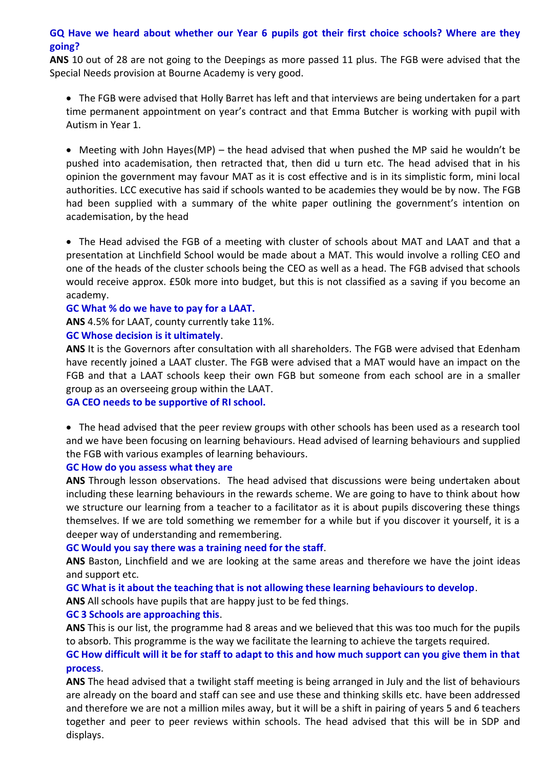# **GQ Have we heard about whether our Year 6 pupils got their first choice schools? Where are they going?**

**ANS** 10 out of 28 are not going to the Deepings as more passed 11 plus. The FGB were advised that the Special Needs provision at Bourne Academy is very good.

• The FGB were advised that Holly Barret has left and that interviews are being undertaken for a part time permanent appointment on year's contract and that Emma Butcher is working with pupil with Autism in Year 1.

• Meeting with John Hayes(MP) – the head advised that when pushed the MP said he wouldn't be pushed into academisation, then retracted that, then did u turn etc. The head advised that in his opinion the government may favour MAT as it is cost effective and is in its simplistic form, mini local authorities. LCC executive has said if schools wanted to be academies they would be by now. The FGB had been supplied with a summary of the white paper outlining the government's intention on academisation, by the head

• The Head advised the FGB of a meeting with cluster of schools about MAT and LAAT and that a presentation at Linchfield School would be made about a MAT. This would involve a rolling CEO and one of the heads of the cluster schools being the CEO as well as a head. The FGB advised that schools would receive approx. £50k more into budget, but this is not classified as a saving if you become an academy.

#### **GC What % do we have to pay for a LAAT.**

**ANS** 4.5% for LAAT, county currently take 11%.

#### **GC Whose decision is it ultimately**.

**ANS** It is the Governors after consultation with all shareholders. The FGB were advised that Edenham have recently joined a LAAT cluster. The FGB were advised that a MAT would have an impact on the FGB and that a LAAT schools keep their own FGB but someone from each school are in a smaller group as an overseeing group within the LAAT.

#### **GA CEO needs to be supportive of RI school.**

• The head advised that the peer review groups with other schools has been used as a research tool and we have been focusing on learning behaviours. Head advised of learning behaviours and supplied the FGB with various examples of learning behaviours.

#### **GC How do you assess what they are**

**ANS** Through lesson observations. The head advised that discussions were being undertaken about including these learning behaviours in the rewards scheme. We are going to have to think about how we structure our learning from a teacher to a facilitator as it is about pupils discovering these things themselves. If we are told something we remember for a while but if you discover it yourself, it is a deeper way of understanding and remembering.

#### **GC Would you say there was a training need for the staff**.

**ANS** Baston, Linchfield and we are looking at the same areas and therefore we have the joint ideas and support etc.

**GC What is it about the teaching that is not allowing these learning behaviours to develop**.

**ANS** All schools have pupils that are happy just to be fed things.

#### **GC 3 Schools are approaching this**.

**ANS** This is our list, the programme had 8 areas and we believed that this was too much for the pupils to absorb. This programme is the way we facilitate the learning to achieve the targets required.

**GC How difficult will it be for staff to adapt to this and how much support can you give them in that process**.

**ANS** The head advised that a twilight staff meeting is being arranged in July and the list of behaviours are already on the board and staff can see and use these and thinking skills etc. have been addressed and therefore we are not a million miles away, but it will be a shift in pairing of years 5 and 6 teachers together and peer to peer reviews within schools. The head advised that this will be in SDP and displays.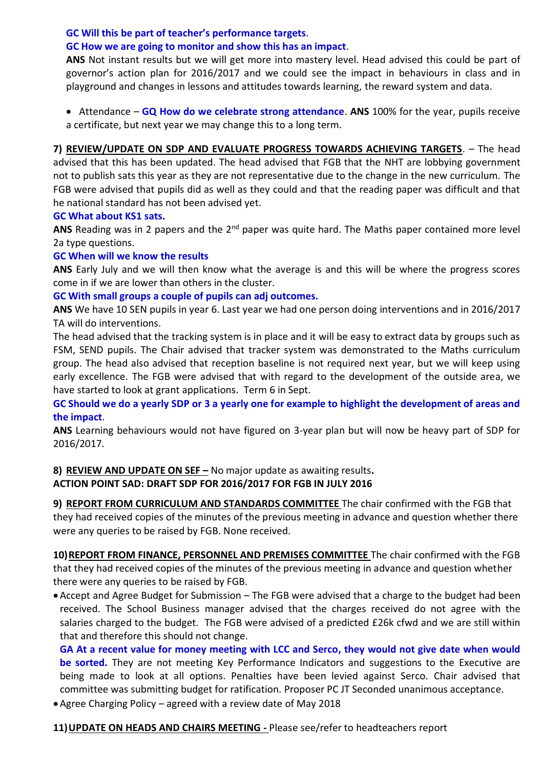## **GC Will this be part of teacher's performance targets**.

#### **GC How we are going to monitor and show this has an impact**.

**ANS** Not instant results but we will get more into mastery level. Head advised this could be part of governor's action plan for 2016/2017 and we could see the impact in behaviours in class and in playground and changes in lessons and attitudes towards learning, the reward system and data.

• Attendance – **GQ How do we celebrate strong attendance**. **ANS** 100% for the year, pupils receive a certificate, but next year we may change this to a long term.

**7) REVIEW/UPDATE ON SDP AND EVALUATE PROGRESS TOWARDS ACHIEVING TARGETS**. – The head advised that this has been updated. The head advised that FGB that the NHT are lobbying government not to publish sats this year as they are not representative due to the change in the new curriculum. The FGB were advised that pupils did as well as they could and that the reading paper was difficult and that he national standard has not been advised yet.

#### **GC What about KS1 sats.**

ANS Reading was in 2 papers and the 2<sup>nd</sup> paper was quite hard. The Maths paper contained more level 2a type questions.

## **GC When will we know the results**

**ANS** Early July and we will then know what the average is and this will be where the progress scores come in if we are lower than others in the cluster.

# **GC With small groups a couple of pupils can adj outcomes.**

**ANS** We have 10 SEN pupils in year 6. Last year we had one person doing interventions and in 2016/2017 TA will do interventions.

The head advised that the tracking system is in place and it will be easy to extract data by groups such as FSM, SEND pupils. The Chair advised that tracker system was demonstrated to the Maths curriculum group. The head also advised that reception baseline is not required next year, but we will keep using early excellence. The FGB were advised that with regard to the development of the outside area, we have started to look at grant applications. Term 6 in Sept.

**GC Should we do a yearly SDP or 3 a yearly one for example to highlight the development of areas and the impact**.

**ANS** Learning behaviours would not have figured on 3-year plan but will now be heavy part of SDP for 2016/2017.

# **8) REVIEW AND UPDATE ON SEF –** No major update as awaiting results**.**

# **ACTION POINT SAD: DRAFT SDP FOR 2016/2017 FOR FGB IN JULY 2016**

**9) REPORT FROM CURRICULUM AND STANDARDS COMMITTEE** The chair confirmed with the FGB that they had received copies of the minutes of the previous meeting in advance and question whether there were any queries to be raised by FGB. None received.

10) REPORT FROM FINANCE, PERSONNEL AND PREMISES COMMITTEE The chair confirmed with the FGB that they had received copies of the minutes of the previous meeting in advance and question whether there were any queries to be raised by FGB.

•Accept and Agree Budget for Submission – The FGB were advised that a charge to the budget had been received. The School Business manager advised that the charges received do not agree with the salaries charged to the budget. The FGB were advised of a predicted £26k cfwd and we are still within that and therefore this should not change.

**GA At a recent value for money meeting with LCC and Serco, they would not give date when would be sorted.** They are not meeting Key Performance Indicators and suggestions to the Executive are being made to look at all options. Penalties have been levied against Serco. Chair advised that committee was submitting budget for ratification. Proposer PC JT Seconded unanimous acceptance.

•Agree Charging Policy – agreed with a review date of May 2018

**11)UPDATE ON HEADS AND CHAIRS MEETING -** Please see/refer to headteachers report